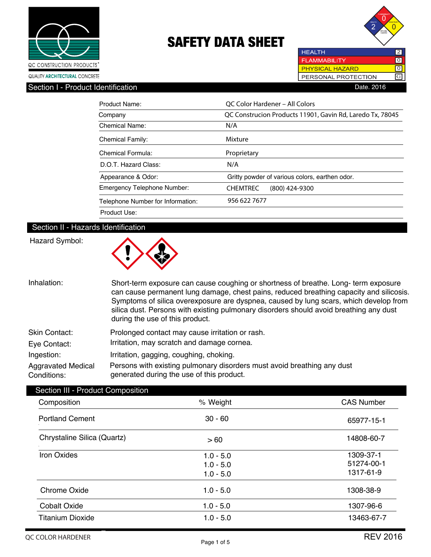



**HEALTH** 2 **FLAMMABILITY**  $\overline{10}$ PHYSICAL HAZARD  $\boxed{0}$ PERSONAL PROTECTION G

| Product Name:                     | OC Color Hardener - All Colors                            |
|-----------------------------------|-----------------------------------------------------------|
| Company                           | QC Construcion Products 11901, Gavin Rd, Laredo Tx, 78045 |
| Chemical Name:                    | N/A                                                       |
| <b>Chemical Family:</b>           | Mixture                                                   |
| Chemical Formula:                 | Proprietary                                               |
| D.O.T. Hazard Class:              | N/A                                                       |
| Appearance & Odor:                | Gritty powder of various colors, earthen odor.            |
| Emergency Telephone Number:       | <b>CHEMTREC</b><br>$(800)$ 424-9300                       |
| Telephone Number for Information: | 956 622 7677                                              |
| Product Use:                      |                                                           |

### Section II - Hazards Identification

### Hazard Symbol:



Inhalation: Short-term exposure can cause coughing or shortness of breathe. Long- term exposure can cause permanent lung damage, chest pains, reduced breathing capacity and silicosis. Symptoms of silica overexposure are dyspnea, caused by lung scars, which develop from silica dust. Persons with existing pulmonary disorders should avoid breathing any dust during the use of this product.

| Skin Contact:                            | Prolonged contact may cause irritation or rash.                                                                      |
|------------------------------------------|----------------------------------------------------------------------------------------------------------------------|
| Eye Contact:                             | Irritation, may scratch and damage cornea.                                                                           |
| Ingestion:                               | Irritation, gagging, coughing, choking.                                                                              |
| <b>Aggravated Medical</b><br>Conditions: | Persons with existing pulmonary disorders must avoid breathing any dust<br>generated during the use of this product. |

| Composition                 | % Weight                   | <b>CAS Number</b>       |
|-----------------------------|----------------------------|-------------------------|
| <b>Portland Cement</b>      | $30 - 60$                  | 65977-15-1              |
| Chrystaline Silica (Quartz) | >60                        | 14808-60-7              |
| Iron Oxides                 | $1.0 - 5.0$                | 1309-37-1               |
|                             | $1.0 - 5.0$<br>$1.0 - 5.0$ | 51274-00-1<br>1317-61-9 |
| Chrome Oxide                | $1.0 - 5.0$                | 1308-38-9               |
| <b>Cobalt Oxide</b>         | $1.0 - 5.0$                | 1307-96-6               |
| <b>Titanium Dioxide</b>     | $1.0 - 5.0$                | 13463-67-7              |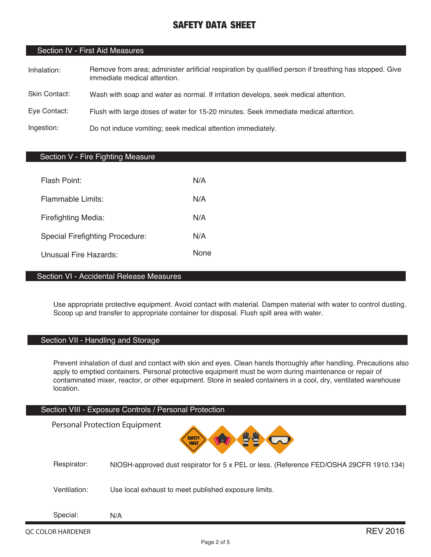### Section IV - First Aid Measures

- Inhalation: Remove from area; administer artificial respiration by qualified person if breathing has stopped. Give immediate medical attention.
- Skin Contact: Wash with soap and water as normal. If irritation develops, seek medical attention.
- Eye Contact: Flush with large doses of water for 15-20 minutes. Seek immediate medical attention.

Ingestion: Do not induce vomiting; seek medical attention immediately.

### Section V - Fire Fighting Measure

| Flash Point:                           | N/A  |
|----------------------------------------|------|
| Flammable Limits:                      | N/A  |
| Firefighting Media:                    | N/A  |
| <b>Special Firefighting Procedure:</b> | N/A  |
| Unusual Fire Hazards:                  | None |

### Section VI - Accidental Release Measures

Use appropriate protective equipment. Avoid contact with material. Dampen material with water to control dusting. Scoop up and transfer to appropriate container for disposal. Flush spill area with water.

### Section VII - Handling and Storage

Prevent inhalation of dust and contact with skin and eyes. Clean hands thoroughly after handling. Precautions also apply to emptied containers. Personal protective equipment must be worn during maintenance or repair of contaminated mixer, reactor, or other equipment. Store in sealed containers in a cool, dry, ventilated warehouse location.

### Section VIII - Exposure Controls / Personal Protection

Personal Protection Equipment**SAFETY FIRST** Respirator: NIOSH-approved dust respirator for 5 x PEL or less. (Reference FED/OSHA 29CFR 1910.134) Ventilation: Use local exhaust to meet published exposure limits. Special: N/A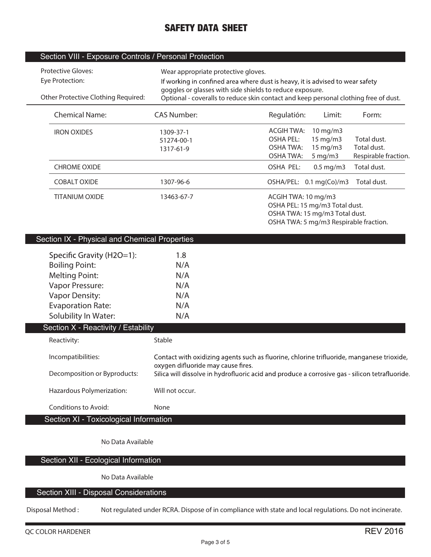### Section VIII - Exposure Controls / Personal Protection

| <b>Protective Gloves:</b><br>Eye Protection:                                                                                                                                | Wear appropriate protective gloves.<br>If working in confined area where dust is heavy, it is advised to wear safety<br>goggles or glasses with side shields to reduce exposure.                                                  |                                                                                                                                   |                                                  |                                                    |
|-----------------------------------------------------------------------------------------------------------------------------------------------------------------------------|-----------------------------------------------------------------------------------------------------------------------------------------------------------------------------------------------------------------------------------|-----------------------------------------------------------------------------------------------------------------------------------|--------------------------------------------------|----------------------------------------------------|
| Other Protective Clothing Required:                                                                                                                                         | Optional - coveralls to reduce skin contact and keep personal clothing free of dust.                                                                                                                                              |                                                                                                                                   |                                                  |                                                    |
| <b>Chemical Name:</b>                                                                                                                                                       | <b>CAS Number:</b>                                                                                                                                                                                                                | Regulatión:                                                                                                                       | Limit:                                           | Form:                                              |
| <b>IRON OXIDES</b>                                                                                                                                                          | 1309-37-1<br>51274-00-1<br>1317-61-9                                                                                                                                                                                              | <b>ACGIH TWA:</b><br><b>OSHA PEL:</b><br><b>OSHA TWA:</b><br><b>OSHA TWA:</b>                                                     | 10 mg/m3<br>15 mg/m3<br>15 mg/m3<br>$5$ mg/m $3$ | Total dust.<br>Total dust.<br>Respirable fraction. |
| <b>CHROME OXIDE</b>                                                                                                                                                         |                                                                                                                                                                                                                                   | OSHA PEL:                                                                                                                         | $0.5$ mg/m3                                      | Total dust.                                        |
| <b>COBALT OXIDE</b>                                                                                                                                                         | 1307-96-6                                                                                                                                                                                                                         | OSHA/PEL: 0.1 mg(Co)/m3                                                                                                           |                                                  | Total dust.                                        |
| <b>TITANIUM OXIDE</b>                                                                                                                                                       | 13463-67-7                                                                                                                                                                                                                        | ACGIH TWA: 10 mg/m3<br>OSHA PEL: 15 mg/m3 Total dust.<br>OSHA TWA: 15 mg/m3 Total dust.<br>OSHA TWA: 5 mg/m3 Respirable fraction. |                                                  |                                                    |
| Section IX - Physical and Chemical Properties                                                                                                                               |                                                                                                                                                                                                                                   |                                                                                                                                   |                                                  |                                                    |
| Specific Gravity (H2O=1):<br><b>Boiling Point:</b><br><b>Melting Point:</b><br>Vapor Pressure:<br><b>Vapor Density:</b><br><b>Evaporation Rate:</b><br>Solubility In Water: | 1.8<br>N/A<br>N/A<br>N/A<br>N/A<br>N/A<br>N/A                                                                                                                                                                                     |                                                                                                                                   |                                                  |                                                    |
| Section X - Reactivity / Estability                                                                                                                                         |                                                                                                                                                                                                                                   |                                                                                                                                   |                                                  |                                                    |
| Reactivity:                                                                                                                                                                 | Stable                                                                                                                                                                                                                            |                                                                                                                                   |                                                  |                                                    |
| Incompatibilities:<br>Decomposition or Byproducts:                                                                                                                          | Contact with oxidizing agents such as fluorine, chlorine trifluoride, manganese trioxide,<br>oxygen difluoride may cause fires.<br>Silica will dissolve in hydrofluoric acid and produce a corrosive gas - silicon tetrafluoride. |                                                                                                                                   |                                                  |                                                    |
| Hazardous Polymerization:                                                                                                                                                   | Will not occur.                                                                                                                                                                                                                   |                                                                                                                                   |                                                  |                                                    |
| Conditions to Avoid:                                                                                                                                                        | None                                                                                                                                                                                                                              |                                                                                                                                   |                                                  |                                                    |
| Section XI - Toxicological Information                                                                                                                                      |                                                                                                                                                                                                                                   |                                                                                                                                   |                                                  |                                                    |

**No Data Available**

Section XII - Ecological Information

**No Data Available**

### Section XIII - Disposal Considerations

**Disposal Method : Not regulated under RCRA. Dispose of in compliance with state and local regulations. Do not incinerate.**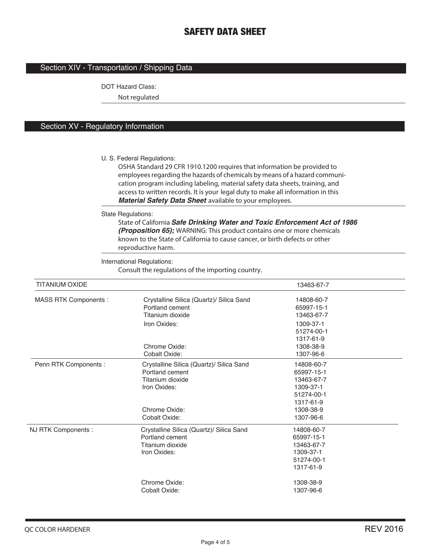### Section XIV - Transportation / Shipping Data

DOT Hazard Class:

**Not regulated**

### Section XV - Regulatory Information

U. S. Federal Regulations:

**OSHA Standard 29 CFR 1910.1200 requires that information be provided to employees regarding the hazards of chemicals by means of a hazard communication program including labeling, material safety data sheets, training, and access to written records. It is your legal duty to make all information in this**  *Material Safety Data Sheet* **available to your employees.**

State Regulations:

**State of California** *Safe Drinking Water and Toxic Enforcement Act of 1986 (Proposition 65);* **WARNING: This product contains one or more chemicals known to the State of California to cause cancer, or birth defects or other reproductive harm.**

International Regulations:

**Consult the regulations of the importing country.**

| TITANIUM OXIDE              |                                                             | 13463-67-7               |  |
|-----------------------------|-------------------------------------------------------------|--------------------------|--|
| <b>MASS RTK Components:</b> | Crystalline Silica (Quartz)/ Silica Sand<br>Portland cement | 14808-60-7<br>65997-15-1 |  |
|                             | Titanium dioxide                                            | 13463-67-7               |  |
|                             | Iron Oxides:                                                | 1309-37-1                |  |
|                             |                                                             | 51274-00-1               |  |
|                             |                                                             | 1317-61-9                |  |
|                             | Chrome Oxide:                                               | 1308-38-9                |  |
|                             | Cobalt Oxide:                                               | 1307-96-6                |  |
| Penn RTK Components :       | Crystalline Silica (Quartz)/ Silica Sand                    | 14808-60-7               |  |
|                             | Portland cement                                             | 65997-15-1               |  |
|                             | Titanium dioxide                                            | 13463-67-7               |  |
|                             | Iron Oxides:                                                | 1309-37-1                |  |
|                             |                                                             | 51274-00-1               |  |
|                             |                                                             | 1317-61-9                |  |
|                             | Chrome Oxide:                                               | 1308-38-9                |  |
|                             | Cobalt Oxide:                                               | 1307-96-6                |  |
| NJ RTK Components :         | Crystalline Silica (Quartz)/ Silica Sand                    | 14808-60-7               |  |
|                             | Portland cement                                             | 65997-15-1               |  |
|                             | Titanium dioxide                                            | 13463-67-7               |  |
|                             | Iron Oxides:                                                | 1309-37-1                |  |
|                             |                                                             | 51274-00-1               |  |
|                             |                                                             | 1317-61-9                |  |
|                             | Chrome Oxide:                                               | 1308-38-9                |  |
|                             | Cobalt Oxide:                                               | 1307-96-6                |  |